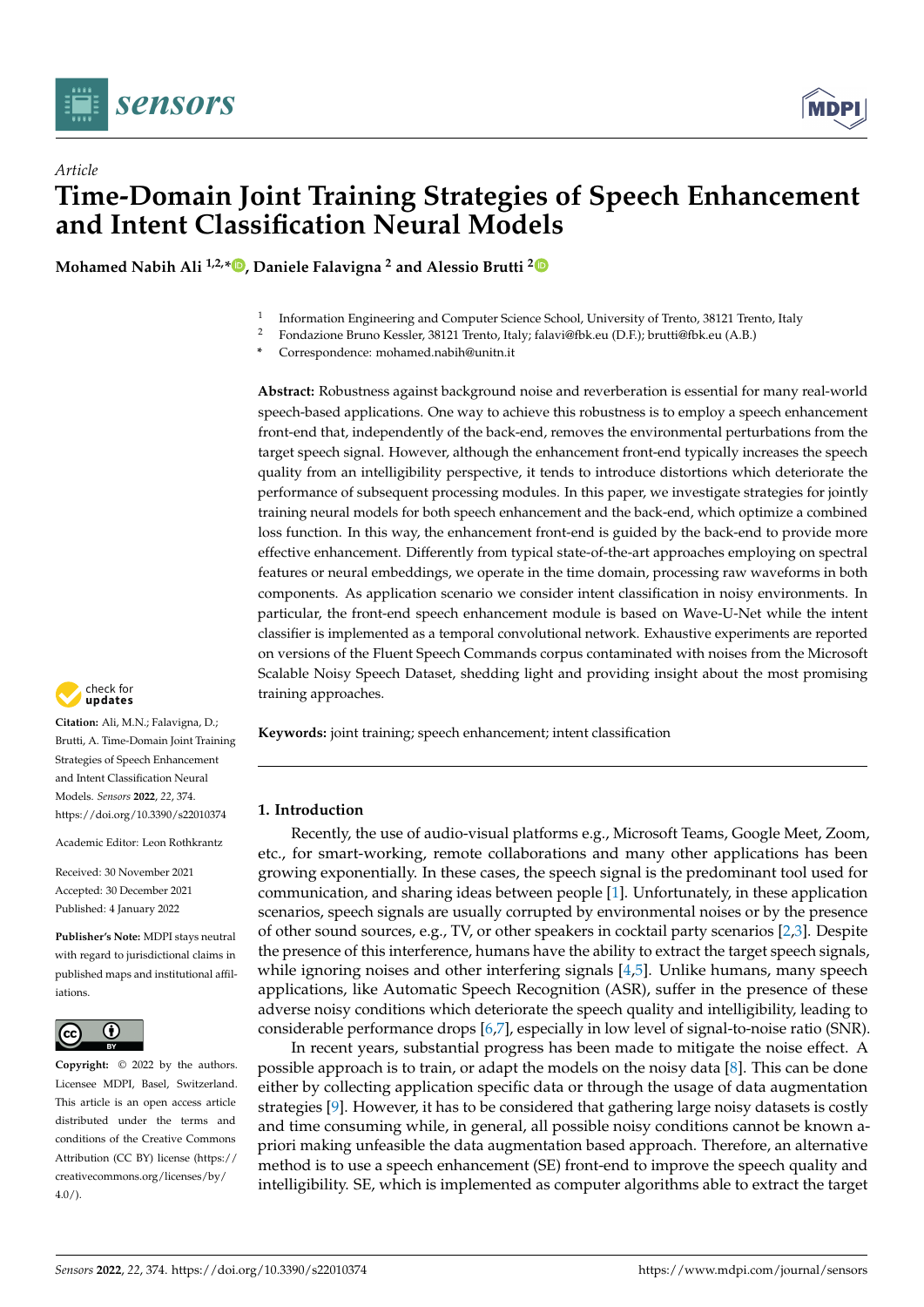

# *Article* **Time-Domain Joint Training Strategies of Speech Enhancement and Intent Classification Neural Models**

**Mohamed Nabih Ali 1,2,[\\*](https://orcid.org/0000-0001-9132-9220) , Daniele Falavigna <sup>2</sup> and Alessio Brutti [2](https://orcid.org/0000-0003-4146-3071)**

- 1 Information Engineering and Computer Science School, University of Trento, 38121 Trento, Italy
- <sup>2</sup> Fondazione Bruno Kessler, 38121 Trento, Italy; falavi@fbk.eu (D.F.); brutti@fbk.eu (A.B.)
- **\*** Correspondence: mohamed.nabih@unitn.it

**Abstract:** Robustness against background noise and reverberation is essential for many real-world speech-based applications. One way to achieve this robustness is to employ a speech enhancement front-end that, independently of the back-end, removes the environmental perturbations from the target speech signal. However, although the enhancement front-end typically increases the speech quality from an intelligibility perspective, it tends to introduce distortions which deteriorate the performance of subsequent processing modules. In this paper, we investigate strategies for jointly training neural models for both speech enhancement and the back-end, which optimize a combined loss function. In this way, the enhancement front-end is guided by the back-end to provide more effective enhancement. Differently from typical state-of-the-art approaches employing on spectral features or neural embeddings, we operate in the time domain, processing raw waveforms in both components. As application scenario we consider intent classification in noisy environments. In particular, the front-end speech enhancement module is based on Wave-U-Net while the intent classifier is implemented as a temporal convolutional network. Exhaustive experiments are reported on versions of the Fluent Speech Commands corpus contaminated with noises from the Microsoft Scalable Noisy Speech Dataset, shedding light and providing insight about the most promising training approaches.

**Keywords:** joint training; speech enhancement; intent classification

# **1. Introduction**

Recently, the use of audio-visual platforms e.g., Microsoft Teams, Google Meet, Zoom, etc., for smart-working, remote collaborations and many other applications has been growing exponentially. In these cases, the speech signal is the predominant tool used for communication, and sharing ideas between people [\[1\]](#page-11-0). Unfortunately, in these application scenarios, speech signals are usually corrupted by environmental noises or by the presence of other sound sources, e.g., TV, or other speakers in cocktail party scenarios [\[2,](#page-11-1)[3\]](#page-11-2). Despite the presence of this interference, humans have the ability to extract the target speech signals, while ignoring noises and other interfering signals [\[4](#page-12-0)[,5\]](#page-12-1). Unlike humans, many speech applications, like Automatic Speech Recognition (ASR), suffer in the presence of these adverse noisy conditions which deteriorate the speech quality and intelligibility, leading to considerable performance drops [\[6,](#page-12-2)[7\]](#page-12-3), especially in low level of signal-to-noise ratio (SNR).

In recent years, substantial progress has been made to mitigate the noise effect. A possible approach is to train, or adapt the models on the noisy data [\[8\]](#page-12-4). This can be done either by collecting application specific data or through the usage of data augmentation strategies [\[9\]](#page-12-5). However, it has to be considered that gathering large noisy datasets is costly and time consuming while, in general, all possible noisy conditions cannot be known apriori making unfeasible the data augmentation based approach. Therefore, an alternative method is to use a speech enhancement (SE) front-end to improve the speech quality and intelligibility. SE, which is implemented as computer algorithms able to extract the target



**Citation:** Ali, M.N.; Falavigna, D.; Brutti, A. Time-Domain Joint Training Strategies of Speech Enhancement and Intent Classification Neural Models. *Sensors* **2022**, *22*, 374. <https://doi.org/10.3390/s22010374>

Academic Editor: Leon Rothkrantz

Received: 30 November 2021 Accepted: 30 December 2021 Published: 4 January 2022

**Publisher's Note:** MDPI stays neutral with regard to jurisdictional claims in published maps and institutional affiliations.



**Copyright:** © 2022 by the authors. Licensee MDPI, Basel, Switzerland. This article is an open access article distributed under the terms and conditions of the Creative Commons Attribution (CC BY) license [\(https://](https://creativecommons.org/licenses/by/4.0/) [creativecommons.org/licenses/by/](https://creativecommons.org/licenses/by/4.0/)  $4.0/$ ).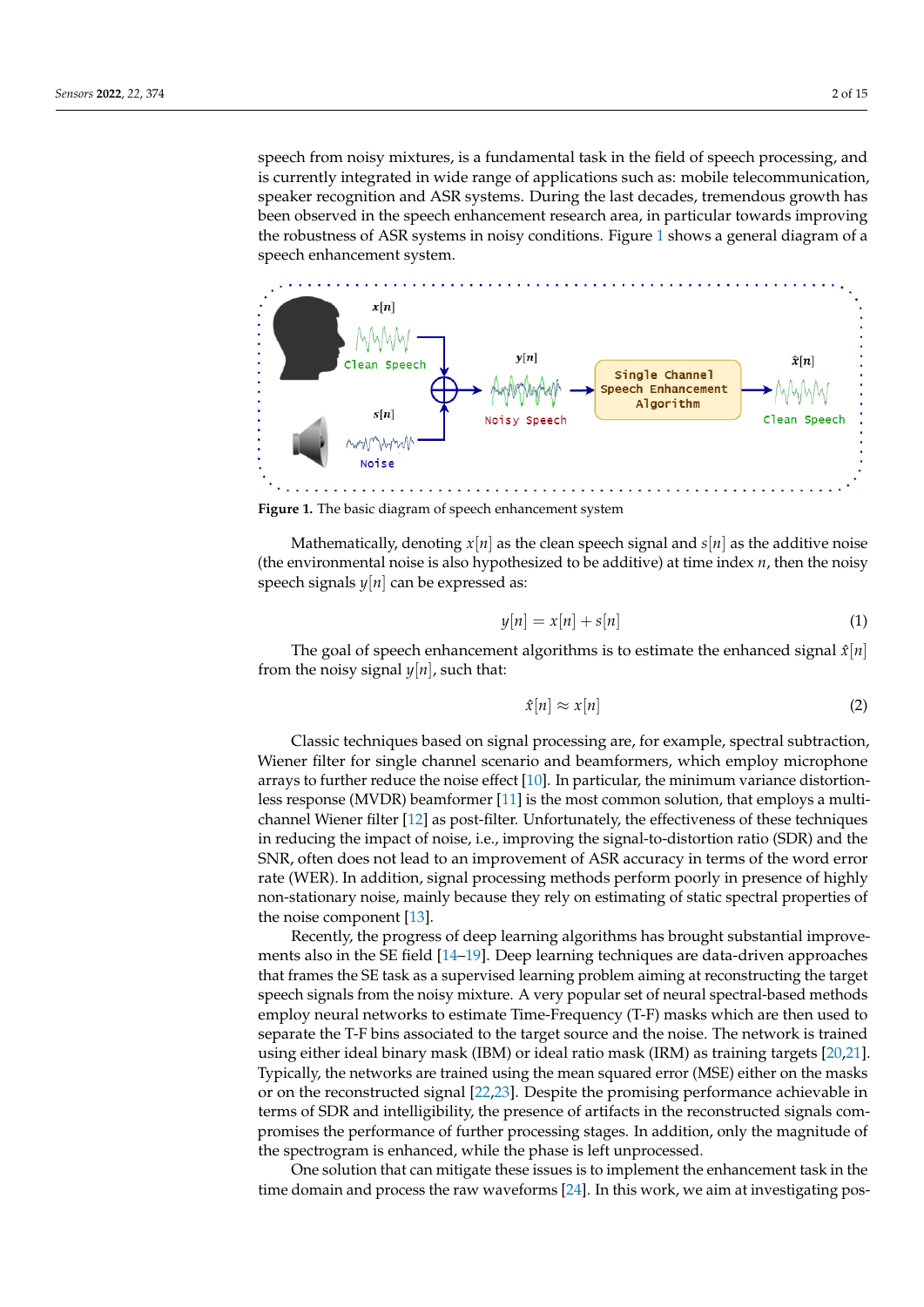speech from noisy mixtures, is a fundamental task in the field of speech processing, and is currently integrated in wide range of applications such as: mobile telecommunication, speaker recognition and ASR systems. During the last decades, tremendous growth has been observed in the speech enhancement research area, in particular towards improving the robustness of ASR systems in noisy conditions. Figure [1](#page-1-0) shows a general diagram of a speech enhancement system.

<span id="page-1-0"></span>

**Figure 1.** The basic diagram of speech enhancement system

Mathematically, denoting  $x[n]$  as the clean speech signal and  $s[n]$  as the additive noise (the environmental noise is also hypothesized to be additive) at time index *n*, then the noisy speech signals *y*[*n*] can be expressed as:

$$
y[n] = x[n] + s[n] \tag{1}
$$

The goal of speech enhancement algorithms is to estimate the enhanced signal  $\hat{x}[n]$ from the noisy signal  $y[n]$ , such that:

$$
\hat{x}[n] \approx x[n] \tag{2}
$$

Classic techniques based on signal processing are, for example, spectral subtraction, Wiener filter for single channel scenario and beamformers, which employ microphone arrays to further reduce the noise effect [\[10\]](#page-12-6). In particular, the minimum variance distortionless response (MVDR) beamformer [\[11\]](#page-12-7) is the most common solution, that employs a multichannel Wiener filter [\[12\]](#page-12-8) as post-filter. Unfortunately, the effectiveness of these techniques in reducing the impact of noise, i.e., improving the signal-to-distortion ratio (SDR) and the SNR, often does not lead to an improvement of ASR accuracy in terms of the word error rate (WER). In addition, signal processing methods perform poorly in presence of highly non-stationary noise, mainly because they rely on estimating of static spectral properties of the noise component [\[13\]](#page-12-9).

Recently, the progress of deep learning algorithms has brought substantial improvements also in the SE field [\[14–](#page-12-10)[19\]](#page-12-11). Deep learning techniques are data-driven approaches that frames the SE task as a supervised learning problem aiming at reconstructing the target speech signals from the noisy mixture. A very popular set of neural spectral-based methods employ neural networks to estimate Time-Frequency (T-F) masks which are then used to separate the T-F bins associated to the target source and the noise. The network is trained using either ideal binary mask (IBM) or ideal ratio mask (IRM) as training targets [\[20,](#page-12-12)[21\]](#page-12-13). Typically, the networks are trained using the mean squared error (MSE) either on the masks or on the reconstructed signal [\[22,](#page-12-14)[23\]](#page-12-15). Despite the promising performance achievable in terms of SDR and intelligibility, the presence of artifacts in the reconstructed signals compromises the performance of further processing stages. In addition, only the magnitude of the spectrogram is enhanced, while the phase is left unprocessed.

One solution that can mitigate these issues is to implement the enhancement task in the time domain and process the raw waveforms [\[24\]](#page-12-16). In this work, we aim at investigating pos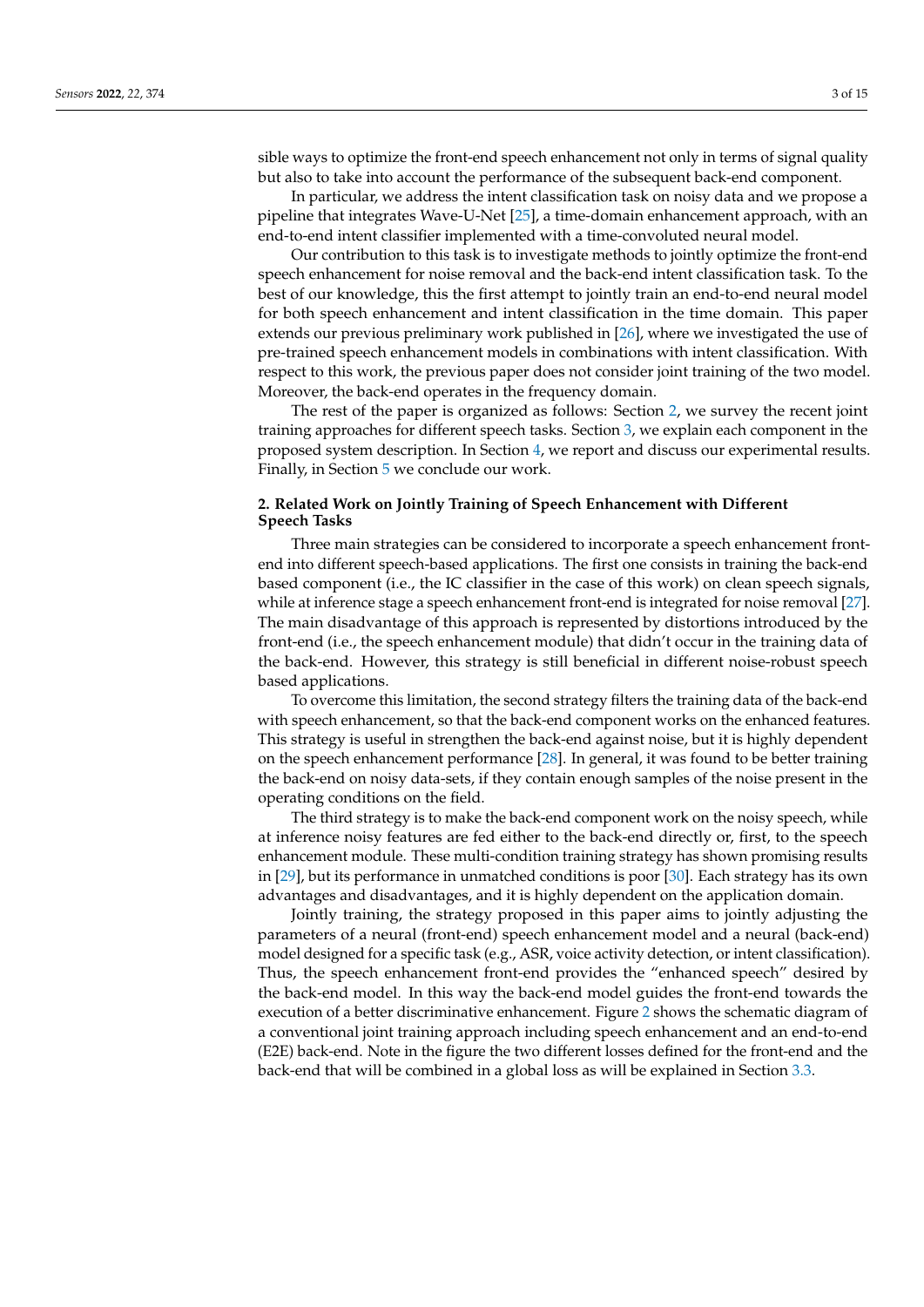sible ways to optimize the front-end speech enhancement not only in terms of signal quality but also to take into account the performance of the subsequent back-end component.

In particular, we address the intent classification task on noisy data and we propose a pipeline that integrates Wave-U-Net [\[25\]](#page-12-17), a time-domain enhancement approach, with an end-to-end intent classifier implemented with a time-convoluted neural model.

Our contribution to this task is to investigate methods to jointly optimize the front-end speech enhancement for noise removal and the back-end intent classification task. To the best of our knowledge, this the first attempt to jointly train an end-to-end neural model for both speech enhancement and intent classification in the time domain. This paper extends our previous preliminary work published in [\[26\]](#page-12-18), where we investigated the use of pre-trained speech enhancement models in combinations with intent classification. With respect to this work, the previous paper does not consider joint training of the two model. Moreover, the back-end operates in the frequency domain.

The rest of the paper is organized as follows: Section [2,](#page-2-0) we survey the recent joint training approaches for different speech tasks. Section [3,](#page-4-0) we explain each component in the proposed system description. In Section [4,](#page-7-0) we report and discuss our experimental results. Finally, in Section [5](#page-10-0) we conclude our work.

# <span id="page-2-0"></span>**2. Related Work on Jointly Training of Speech Enhancement with Different Speech Tasks**

Three main strategies can be considered to incorporate a speech enhancement frontend into different speech-based applications. The first one consists in training the back-end based component (i.e., the IC classifier in the case of this work) on clean speech signals, while at inference stage a speech enhancement front-end is integrated for noise removal [\[27\]](#page-12-19). The main disadvantage of this approach is represented by distortions introduced by the front-end (i.e., the speech enhancement module) that didn't occur in the training data of the back-end. However, this strategy is still beneficial in different noise-robust speech based applications.

To overcome this limitation, the second strategy filters the training data of the back-end with speech enhancement, so that the back-end component works on the enhanced features. This strategy is useful in strengthen the back-end against noise, but it is highly dependent on the speech enhancement performance [\[28\]](#page-12-20). In general, it was found to be better training the back-end on noisy data-sets, if they contain enough samples of the noise present in the operating conditions on the field.

The third strategy is to make the back-end component work on the noisy speech, while at inference noisy features are fed either to the back-end directly or, first, to the speech enhancement module. These multi-condition training strategy has shown promising results in [\[29\]](#page-12-21), but its performance in unmatched conditions is poor [\[30\]](#page-12-22). Each strategy has its own advantages and disadvantages, and it is highly dependent on the application domain.

Jointly training, the strategy proposed in this paper aims to jointly adjusting the parameters of a neural (front-end) speech enhancement model and a neural (back-end) model designed for a specific task (e.g., ASR, voice activity detection, or intent classification). Thus, the speech enhancement front-end provides the "enhanced speech" desired by the back-end model. In this way the back-end model guides the front-end towards the execution of a better discriminative enhancement. Figure [2](#page-3-0) shows the schematic diagram of a conventional joint training approach including speech enhancement and an end-to-end (E2E) back-end. Note in the figure the two different losses defined for the front-end and the back-end that will be combined in a global loss as will be explained in Section [3.3.](#page-5-0)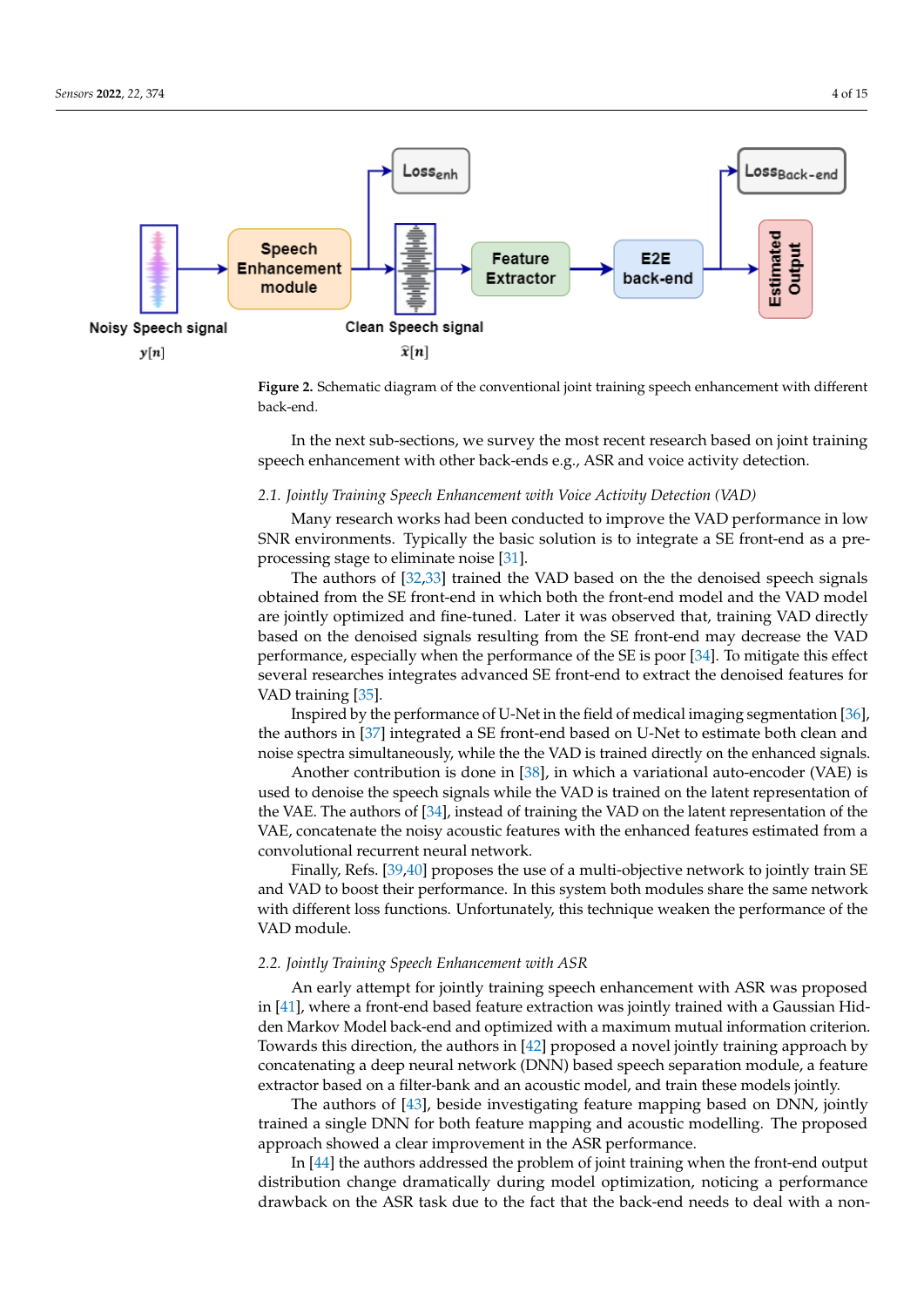<span id="page-3-0"></span>

**Figure 2.** Schematic diagram of the conventional joint training speech enhancement with different back-end.

In the next sub-sections, we survey the most recent research based on joint training speech enhancement with other back-ends e.g., ASR and voice activity detection.

#### *2.1. Jointly Training Speech Enhancement with Voice Activity Detection (VAD)*

Many research works had been conducted to improve the VAD performance in low SNR environments. Typically the basic solution is to integrate a SE front-end as a preprocessing stage to eliminate noise [\[31\]](#page-13-0).

The authors of [\[32,](#page-13-1)[33\]](#page-13-2) trained the VAD based on the the denoised speech signals obtained from the SE front-end in which both the front-end model and the VAD model are jointly optimized and fine-tuned. Later it was observed that, training VAD directly based on the denoised signals resulting from the SE front-end may decrease the VAD performance, especially when the performance of the SE is poor [\[34\]](#page-13-3). To mitigate this effect several researches integrates advanced SE front-end to extract the denoised features for VAD training [\[35\]](#page-13-4).

Inspired by the performance of U-Net in the field of medical imaging segmentation [\[36\]](#page-13-5), the authors in [\[37\]](#page-13-6) integrated a SE front-end based on U-Net to estimate both clean and noise spectra simultaneously, while the the VAD is trained directly on the enhanced signals.

Another contribution is done in [\[38\]](#page-13-7), in which a variational auto-encoder (VAE) is used to denoise the speech signals while the VAD is trained on the latent representation of the VAE. The authors of [\[34\]](#page-13-3), instead of training the VAD on the latent representation of the VAE, concatenate the noisy acoustic features with the enhanced features estimated from a convolutional recurrent neural network.

Finally, Refs. [\[39,](#page-13-8)[40\]](#page-13-9) proposes the use of a multi-objective network to jointly train SE and VAD to boost their performance. In this system both modules share the same network with different loss functions. Unfortunately, this technique weaken the performance of the VAD module.

#### *2.2. Jointly Training Speech Enhancement with ASR*

An early attempt for jointly training speech enhancement with ASR was proposed in [\[41\]](#page-13-10), where a front-end based feature extraction was jointly trained with a Gaussian Hidden Markov Model back-end and optimized with a maximum mutual information criterion. Towards this direction, the authors in [\[42\]](#page-13-11) proposed a novel jointly training approach by concatenating a deep neural network (DNN) based speech separation module, a feature extractor based on a filter-bank and an acoustic model, and train these models jointly.

The authors of [\[43\]](#page-13-12), beside investigating feature mapping based on DNN, jointly trained a single DNN for both feature mapping and acoustic modelling. The proposed approach showed a clear improvement in the ASR performance.

In [\[44\]](#page-13-13) the authors addressed the problem of joint training when the front-end output distribution change dramatically during model optimization, noticing a performance drawback on the ASR task due to the fact that the back-end needs to deal with a non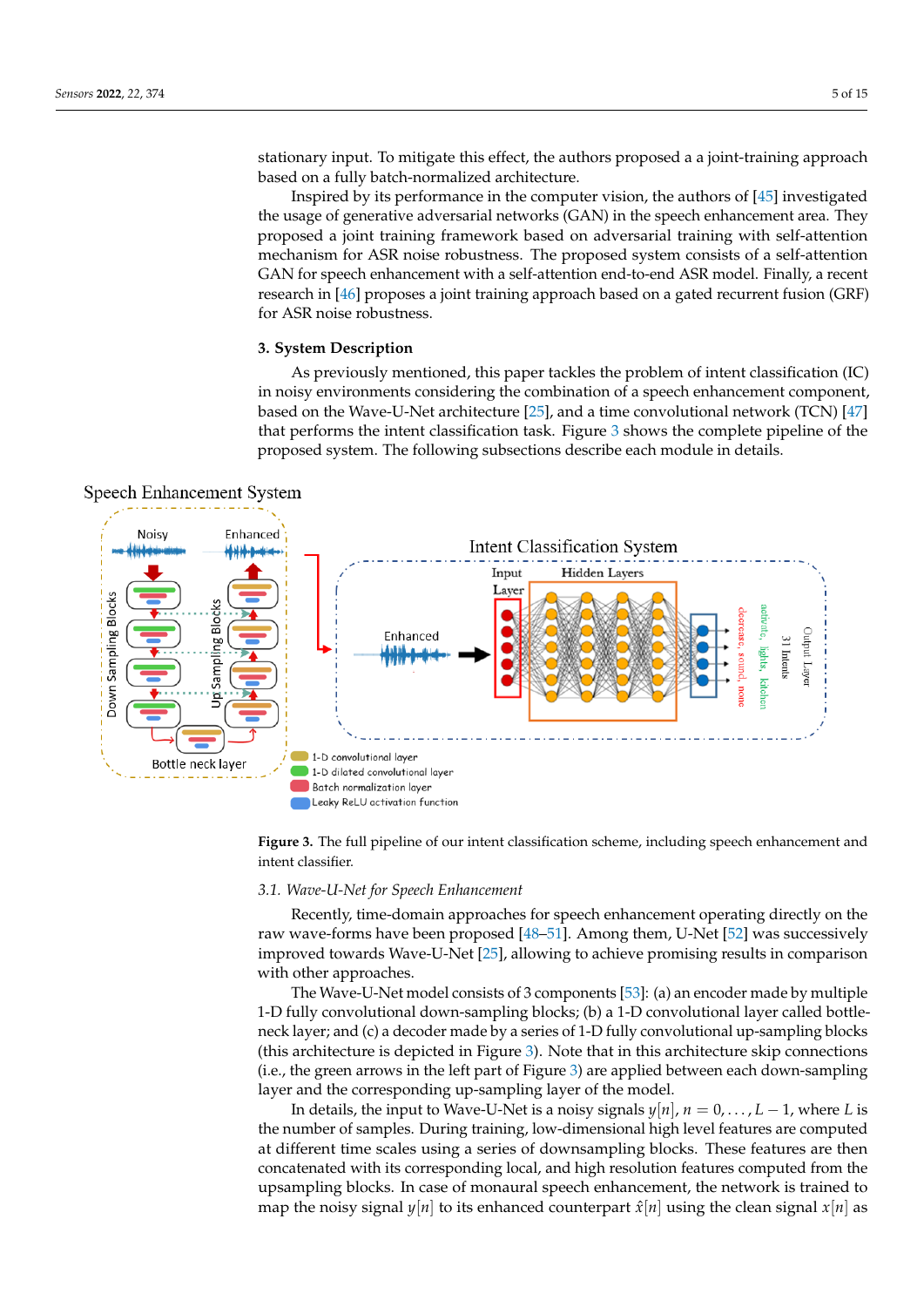stationary input. To mitigate this effect, the authors proposed a a joint-training approach based on a fully batch-normalized architecture.

Inspired by its performance in the computer vision, the authors of [\[45\]](#page-13-14) investigated the usage of generative adversarial networks (GAN) in the speech enhancement area. They proposed a joint training framework based on adversarial training with self-attention mechanism for ASR noise robustness. The proposed system consists of a self-attention GAN for speech enhancement with a self-attention end-to-end ASR model. Finally, a recent research in [\[46\]](#page-13-15) proposes a joint training approach based on a gated recurrent fusion (GRF) for ASR noise robustness.

# <span id="page-4-0"></span>**3. System Description**

<span id="page-4-1"></span>As previously mentioned, this paper tackles the problem of intent classification (IC) in noisy environments considering the combination of a speech enhancement component, based on the Wave-U-Net architecture [\[25\]](#page-12-17), and a time convolutional network (TCN) [\[47\]](#page-13-16) that performs the intent classification task. Figure [3](#page-4-1) shows the complete pipeline of the proposed system. The following subsections describe each module in details.



**Figure 3.** The full pipeline of our intent classification scheme, including speech enhancement and intent classifier.

# *3.1. Wave-U-Net for Speech Enhancement*

Recently, time-domain approaches for speech enhancement operating directly on the raw wave-forms have been proposed [\[48–](#page-13-17)[51\]](#page-13-18). Among them, U-Net [\[52\]](#page-13-19) was successively improved towards Wave-U-Net [\[25\]](#page-12-17), allowing to achieve promising results in comparison with other approaches.

The Wave-U-Net model consists of 3 components [\[53\]](#page-13-20): (a) an encoder made by multiple 1-D fully convolutional down-sampling blocks; (b) a 1-D convolutional layer called bottleneck layer; and (c) a decoder made by a series of 1-D fully convolutional up-sampling blocks (this architecture is depicted in Figure [3\)](#page-4-1). Note that in this architecture skip connections (i.e., the green arrows in the left part of Figure [3\)](#page-4-1) are applied between each down-sampling layer and the corresponding up-sampling layer of the model.

In details, the input to Wave-U-Net is a noisy signals  $y[n]$ ,  $n = 0, \ldots, L-1$ , where *L* is the number of samples. During training, low-dimensional high level features are computed at different time scales using a series of downsampling blocks. These features are then concatenated with its corresponding local, and high resolution features computed from the upsampling blocks. In case of monaural speech enhancement, the network is trained to map the noisy signal  $y[n]$  to its enhanced counterpart  $\hat{x}[n]$  using the clean signal  $x[n]$  as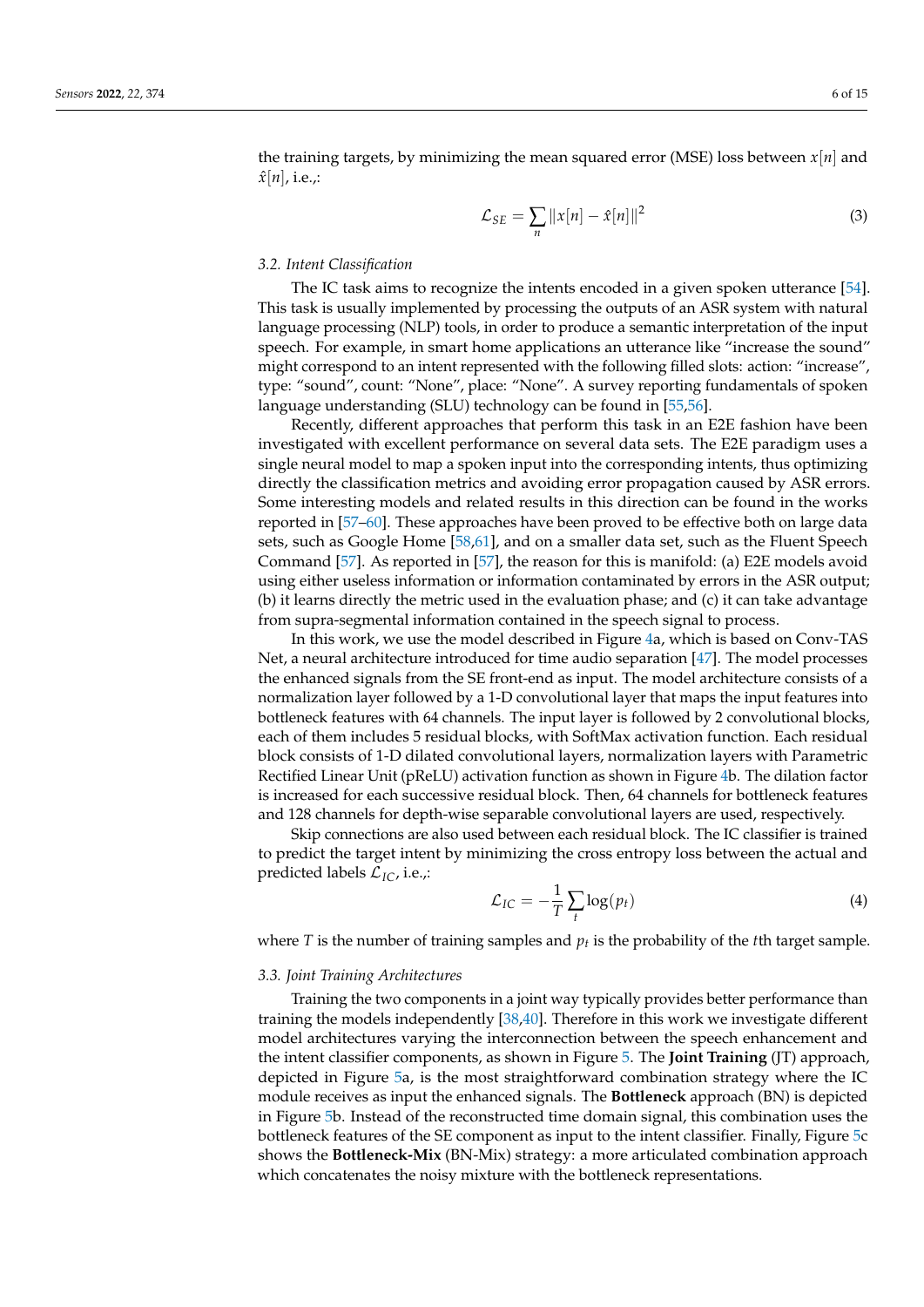the training targets, by minimizing the mean squared error (MSE) loss between  $x[n]$  and  $\hat{x}[n]$ , i.e.,:

$$
\mathcal{L}_{SE} = \sum_{n} ||x[n] - \hat{x}[n]||^2 \tag{3}
$$

# *3.2. Intent Classification*

The IC task aims to recognize the intents encoded in a given spoken utterance [\[54\]](#page-13-21). This task is usually implemented by processing the outputs of an ASR system with natural language processing (NLP) tools, in order to produce a semantic interpretation of the input speech. For example, in smart home applications an utterance like "increase the sound" might correspond to an intent represented with the following filled slots: action: "increase", type: "sound", count: "None", place: "None". A survey reporting fundamentals of spoken language understanding (SLU) technology can be found in [\[55,](#page-13-22)[56\]](#page-14-0).

Recently, different approaches that perform this task in an E2E fashion have been investigated with excellent performance on several data sets. The E2E paradigm uses a single neural model to map a spoken input into the corresponding intents, thus optimizing directly the classification metrics and avoiding error propagation caused by ASR errors. Some interesting models and related results in this direction can be found in the works reported in [\[57](#page-14-1)[–60\]](#page-14-2). These approaches have been proved to be effective both on large data sets, such as Google Home [\[58,](#page-14-3)[61\]](#page-14-4), and on a smaller data set, such as the Fluent Speech Command [\[57\]](#page-14-1). As reported in [\[57\]](#page-14-1), the reason for this is manifold: (a) E2E models avoid using either useless information or information contaminated by errors in the ASR output; (b) it learns directly the metric used in the evaluation phase; and (c) it can take advantage from supra-segmental information contained in the speech signal to process.

In this work, we use the model described in Figure [4a](#page-6-0), which is based on Conv-TAS Net, a neural architecture introduced for time audio separation [\[47\]](#page-13-16). The model processes the enhanced signals from the SE front-end as input. The model architecture consists of a normalization layer followed by a 1-D convolutional layer that maps the input features into bottleneck features with 64 channels. The input layer is followed by 2 convolutional blocks, each of them includes 5 residual blocks, with SoftMax activation function. Each residual block consists of 1-D dilated convolutional layers, normalization layers with Parametric Rectified Linear Unit (pReLU) activation function as shown in Figure [4b](#page-6-0). The dilation factor is increased for each successive residual block. Then, 64 channels for bottleneck features and 128 channels for depth-wise separable convolutional layers are used, respectively.

Skip connections are also used between each residual block. The IC classifier is trained to predict the target intent by minimizing the cross entropy loss between the actual and predicted labels L*IC*, i.e.,:

$$
\mathcal{L}_{IC} = -\frac{1}{T} \sum_{t} \log(p_t) \tag{4}
$$

where  $T$  is the number of training samples and  $p_t$  is the probability of the *t*th target sample.

#### <span id="page-5-0"></span>*3.3. Joint Training Architectures*

Training the two components in a joint way typically provides better performance than training the models independently [\[38](#page-13-7)[,40\]](#page-13-9). Therefore in this work we investigate different model architectures varying the interconnection between the speech enhancement and the intent classifier components, as shown in Figure [5.](#page-6-1) The **Joint Training** (JT) approach, depicted in Figure [5a](#page-6-1), is the most straightforward combination strategy where the IC module receives as input the enhanced signals. The **Bottleneck** approach (BN) is depicted in Figure [5b](#page-6-1). Instead of the reconstructed time domain signal, this combination uses the bottleneck features of the SE component as input to the intent classifier. Finally, Figure [5c](#page-6-1) shows the **Bottleneck-Mix** (BN-Mix) strategy: a more articulated combination approach which concatenates the noisy mixture with the bottleneck representations.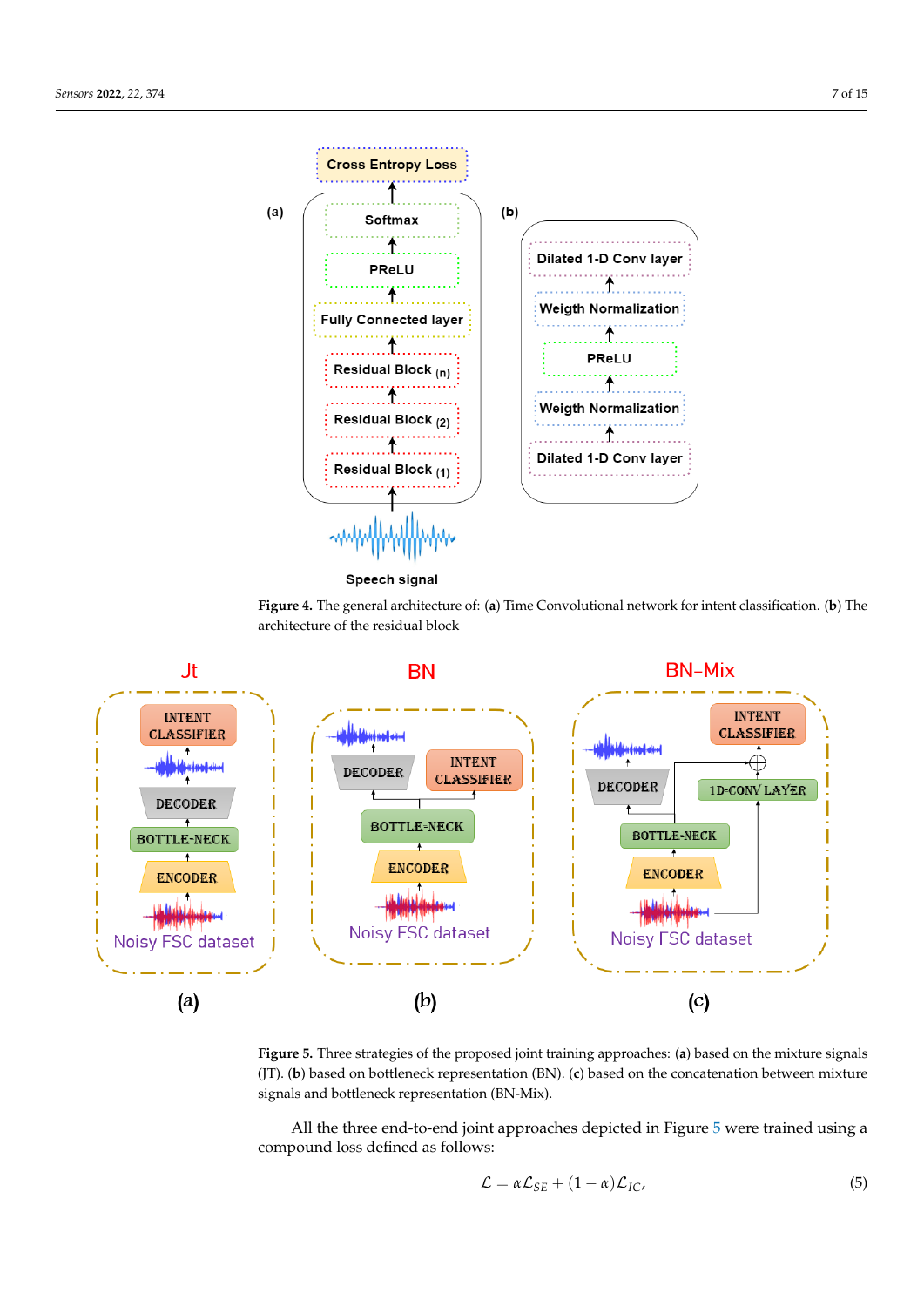<span id="page-6-0"></span>

<span id="page-6-1"></span>



**Figure 5.** Three strategies of the proposed joint training approaches: (**a**) based on the mixture signals (JT). (**b**) based on bottleneck representation (BN). (**c**) based on the concatenation between mixture signals and bottleneck representation (BN-Mix).

All the three end-to-end joint approaches depicted in Figure [5](#page-6-1) were trained using a compound loss defined as follows:

<span id="page-6-2"></span>
$$
\mathcal{L} = \alpha \mathcal{L}_{SE} + (1 - \alpha) \mathcal{L}_{IC}, \tag{5}
$$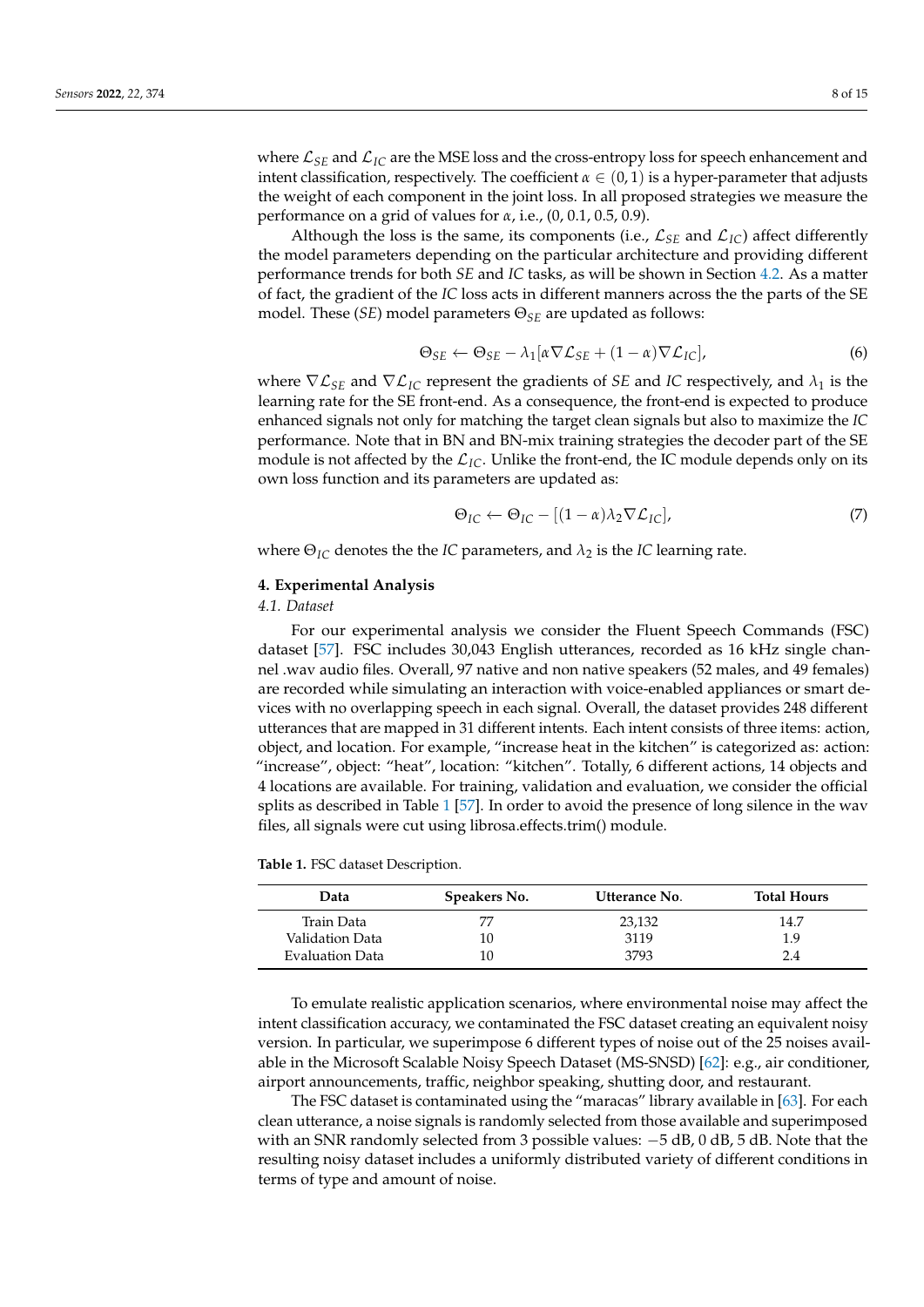where  $\mathcal{L}_{SE}$  and  $\mathcal{L}_{IC}$  are the MSE loss and the cross-entropy loss for speech enhancement and intent classification, respectively. The coefficient  $\alpha \in (0,1)$  is a hyper-parameter that adjusts the weight of each component in the joint loss. In all proposed strategies we measure the performance on a grid of values for *α*, i.e., (0, 0.1, 0.5, 0.9).

Although the loss is the same, its components (i.e.,  $\mathcal{L}_{SE}$  and  $\mathcal{L}_{IC}$ ) affect differently the model parameters depending on the particular architecture and providing different performance trends for both *SE* and *IC* tasks, as will be shown in Section [4.2.](#page-8-0) As a matter of fact, the gradient of the *IC* loss acts in different manners across the the parts of the SE model. These (*SE*) model parameters Θ*SE* are updated as follows:

$$
\Theta_{SE} \leftarrow \Theta_{SE} - \lambda_1 [\alpha \nabla \mathcal{L}_{SE} + (1 - \alpha) \nabla \mathcal{L}_{IC}], \tag{6}
$$

where  $\nabla \mathcal{L}_{SE}$  and  $\nabla \mathcal{L}_{IC}$  represent the gradients of *SE* and *IC* respectively, and  $\lambda_1$  is the learning rate for the SE front-end. As a consequence, the front-end is expected to produce enhanced signals not only for matching the target clean signals but also to maximize the *IC* performance. Note that in BN and BN-mix training strategies the decoder part of the SE module is not affected by the  $\mathcal{L}_{IC}$ . Unlike the front-end, the IC module depends only on its own loss function and its parameters are updated as:

$$
\Theta_{IC} \leftarrow \Theta_{IC} - [(1 - \alpha)\lambda_2 \nabla \mathcal{L}_{IC}], \tag{7}
$$

where  $\Theta_{IC}$  denotes the the *IC* parameters, and  $\lambda_2$  is the *IC* learning rate.

#### <span id="page-7-0"></span>**4. Experimental Analysis**

### *4.1. Dataset*

For our experimental analysis we consider the Fluent Speech Commands (FSC) dataset [\[57\]](#page-14-1). FSC includes 30,043 English utterances, recorded as 16 kHz single channel .wav audio files. Overall, 97 native and non native speakers (52 males, and 49 females) are recorded while simulating an interaction with voice-enabled appliances or smart devices with no overlapping speech in each signal. Overall, the dataset provides 248 different utterances that are mapped in 31 different intents. Each intent consists of three items: action, object, and location. For example, "increase heat in the kitchen" is categorized as: action: "increase", object: "heat", location: "kitchen". Totally, 6 different actions, 14 objects and 4 locations are available. For training, validation and evaluation, we consider the official splits as described in Table [1](#page-7-1) [\[57\]](#page-14-1). In order to avoid the presence of long silence in the wav files, all signals were cut using librosa.effects.trim() module.

<span id="page-7-1"></span>**Table 1.** FSC dataset Description.

| Data            | Speakers No. | Utterance No. | <b>Total Hours</b> |
|-----------------|--------------|---------------|--------------------|
| Train Data      | 77           | 23,132        | 14.7               |
| Validation Data | 10           | 3119          | 1.9                |
| Evaluation Data | 10           | 3793          | 2.4                |

To emulate realistic application scenarios, where environmental noise may affect the intent classification accuracy, we contaminated the FSC dataset creating an equivalent noisy version. In particular, we superimpose 6 different types of noise out of the 25 noises available in the Microsoft Scalable Noisy Speech Dataset (MS-SNSD) [\[62\]](#page-14-5): e.g., air conditioner, airport announcements, traffic, neighbor speaking, shutting door, and restaurant.

The FSC dataset is contaminated using the "maracas" library available in [\[63\]](#page-14-6). For each clean utterance, a noise signals is randomly selected from those available and superimposed with an SNR randomly selected from 3 possible values:  $-5$  dB, 0 dB, 5 dB. Note that the resulting noisy dataset includes a uniformly distributed variety of different conditions in terms of type and amount of noise.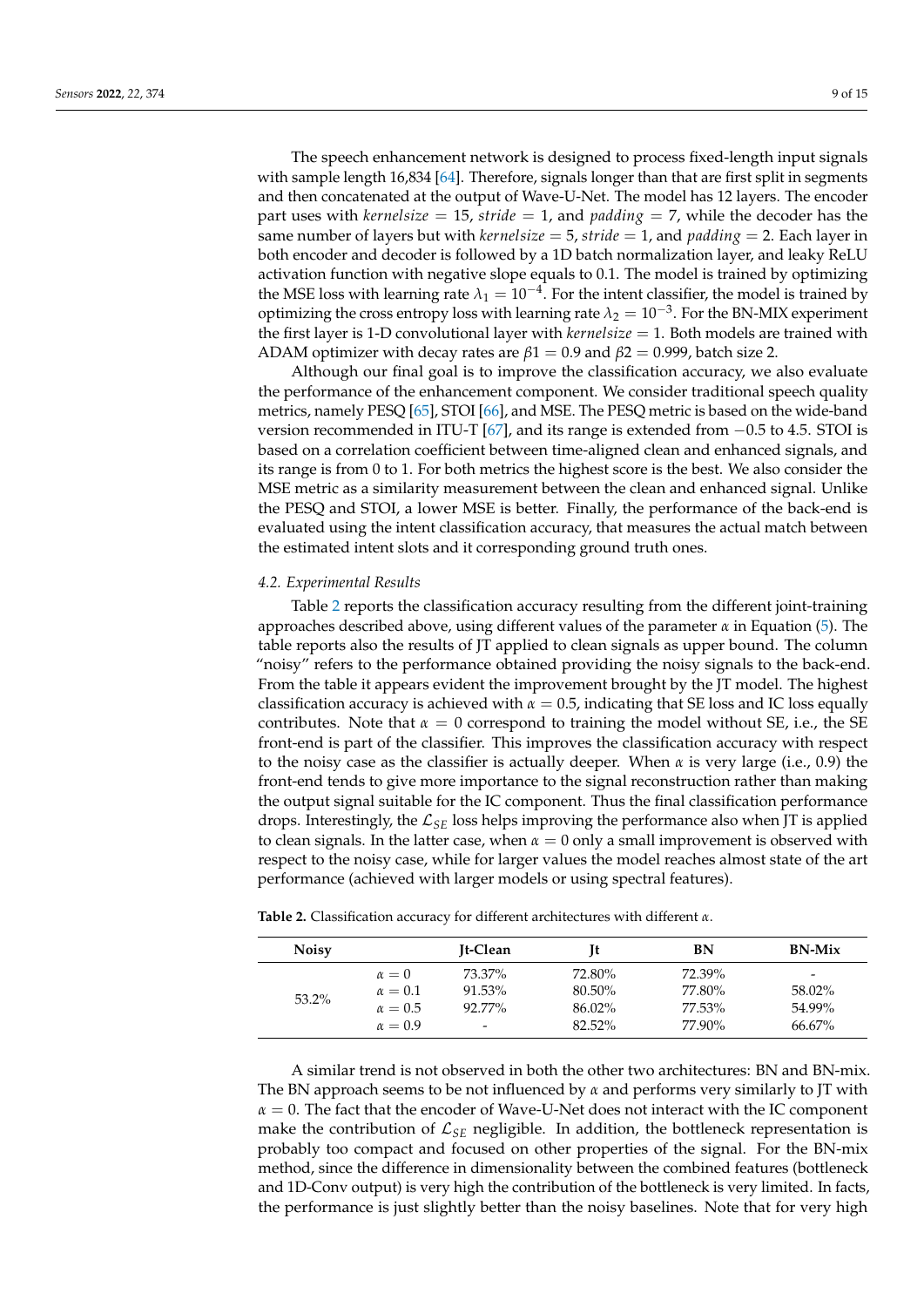The speech enhancement network is designed to process fixed-length input signals with sample length 16,834 [\[64\]](#page-14-7). Therefore, signals longer than that are first split in segments and then concatenated at the output of Wave-U-Net. The model has 12 layers. The encoder part uses with *kernelsize* = 15, *stride* = 1, and *padding* = 7, while the decoder has the same number of layers but with *kernelsize* = 5, *stride* = 1, and *padding* = 2. Each layer in both encoder and decoder is followed by a 1D batch normalization layer, and leaky ReLU activation function with negative slope equals to 0.1. The model is trained by optimizing the MSE loss with learning rate  $\lambda_1 = 10^{-4}$ . For the intent classifier, the model is trained by optimizing the cross entropy loss with learning rate  $\lambda_2 = 10^{-3}$ . For the BN-MIX experiment the first layer is 1-D convolutional layer with  $kernelsize = 1$ . Both models are trained with ADAM optimizer with decay rates are  $\beta$ 1 = 0.9 and  $\beta$ 2 = 0.999, batch size 2.

Although our final goal is to improve the classification accuracy, we also evaluate the performance of the enhancement component. We consider traditional speech quality metrics, namely PESQ [\[65\]](#page-14-8), STOI [\[66\]](#page-14-9), and MSE. The PESQ metric is based on the wide-band version recommended in ITU-T [\[67\]](#page-14-10), and its range is extended from −0.5 to 4.5. STOI is based on a correlation coefficient between time-aligned clean and enhanced signals, and its range is from 0 to 1. For both metrics the highest score is the best. We also consider the MSE metric as a similarity measurement between the clean and enhanced signal. Unlike the PESQ and STOI, a lower MSE is better. Finally, the performance of the back-end is evaluated using the intent classification accuracy, that measures the actual match between the estimated intent slots and it corresponding ground truth ones.

#### <span id="page-8-0"></span>*4.2. Experimental Results*

Table [2](#page-8-1) reports the classification accuracy resulting from the different joint-training approaches described above, using different values of the parameter *α* in Equation [\(5\)](#page-6-2). The table reports also the results of JT applied to clean signals as upper bound. The column "noisy" refers to the performance obtained providing the noisy signals to the back-end. From the table it appears evident the improvement brought by the JT model. The highest classification accuracy is achieved with  $\alpha = 0.5$ , indicating that SE loss and IC loss equally contributes. Note that  $\alpha = 0$  correspond to training the model without SE, i.e., the SE front-end is part of the classifier. This improves the classification accuracy with respect to the noisy case as the classifier is actually deeper. When *α* is very large (i.e., 0.9) the front-end tends to give more importance to the signal reconstruction rather than making the output signal suitable for the IC component. Thus the final classification performance drops. Interestingly, the L*SE* loss helps improving the performance also when JT is applied to clean signals. In the latter case, when  $\alpha = 0$  only a small improvement is observed with respect to the noisy case, while for larger values the model reaches almost state of the art performance (achieved with larger models or using spectral features).

| <b>Noisy</b> |                | It-Clean                 | It     | BN     | <b>BN-Mix</b>            |
|--------------|----------------|--------------------------|--------|--------|--------------------------|
|              | $\alpha = 0$   | 73.37%                   | 72.80% | 72.39% | $\overline{\phantom{a}}$ |
| 53.2%        | $\alpha = 0.1$ | 91.53%                   | 80.50% | 77.80% | 58.02%                   |
|              | $\alpha = 0.5$ | 92.77%                   | 86.02% | 77.53% | 54.99%                   |
|              | $\alpha = 0.9$ | $\overline{\phantom{a}}$ | 82.52% | 77.90% | 66.67%                   |

<span id="page-8-1"></span>**Table 2.** Classification accuracy for different architectures with different *α*.

A similar trend is not observed in both the other two architectures: BN and BN-mix. The BN approach seems to be not influenced by *α* and performs very similarly to JT with *α* = 0. The fact that the encoder of Wave-U-Net does not interact with the IC component make the contribution of  $\mathcal{L}_{SE}$  negligible. In addition, the bottleneck representation is probably too compact and focused on other properties of the signal. For the BN-mix method, since the difference in dimensionality between the combined features (bottleneck and 1D-Conv output) is very high the contribution of the bottleneck is very limited. In facts, the performance is just slightly better than the noisy baselines. Note that for very high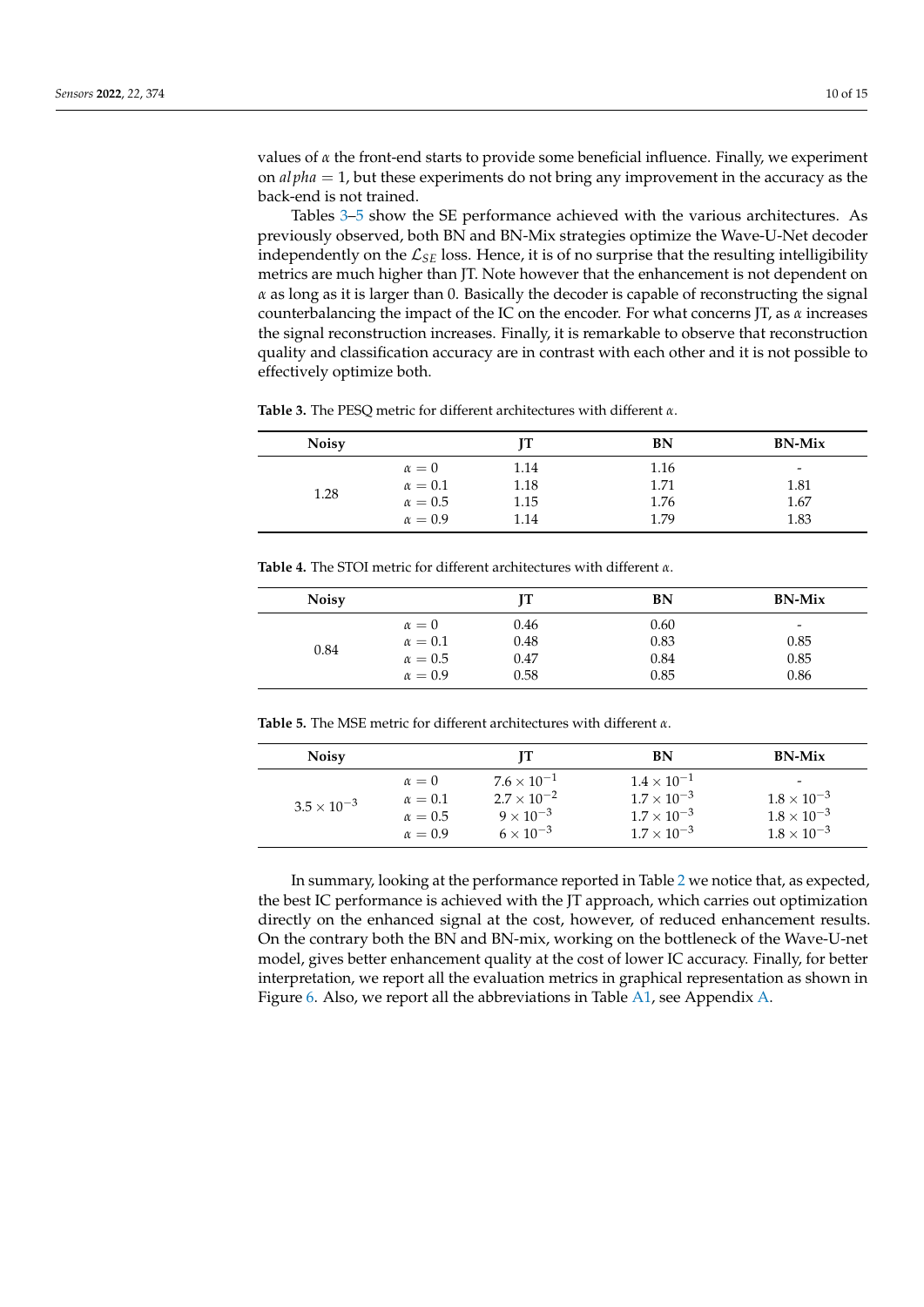values of *α* the front-end starts to provide some beneficial influence. Finally, we experiment on *al pha* = 1, but these experiments do not bring any improvement in the accuracy as the back-end is not trained.

Tables [3](#page-9-0)[–5](#page-9-1) show the SE performance achieved with the various architectures. As previously observed, both BN and BN-Mix strategies optimize the Wave-U-Net decoder independently on the  $\mathcal{L}_{SE}$  loss. Hence, it is of no surprise that the resulting intelligibility metrics are much higher than JT. Note however that the enhancement is not dependent on *α* as long as it is larger than 0. Basically the decoder is capable of reconstructing the signal counterbalancing the impact of the IC on the encoder. For what concerns JT, as *α* increases the signal reconstruction increases. Finally, it is remarkable to observe that reconstruction quality and classification accuracy are in contrast with each other and it is not possible to effectively optimize both.

| <b>Noisy</b> |                |      | BN   | <b>BN-Mix</b>            |
|--------------|----------------|------|------|--------------------------|
| 1.28         | $\alpha = 0$   | 1.14 | 1.16 | $\overline{\phantom{0}}$ |
|              | $\alpha=0.1$   | 1.18 | 1.71 | 1.81                     |
|              | $\alpha = 0.5$ | 1.15 | 1.76 | 1.67                     |
|              | $\alpha = 0.9$ | 1.14 | 1.79 | 1.83                     |

<span id="page-9-0"></span>**Table 3.** The PESQ metric for different architectures with different *α*.

**Table 4.** The STOI metric for different architectures with different *α*.

| <b>Noisy</b> |                | IТ   | BN   | <b>BN-Mix</b>            |
|--------------|----------------|------|------|--------------------------|
|              | $\alpha = 0$   | 0.46 | 0.60 | $\overline{\phantom{a}}$ |
| 0.84         | $\alpha=0.1$   | 0.48 | 0.83 | 0.85                     |
|              | $\alpha = 0.5$ | 0.47 | 0.84 | 0.85                     |
|              | $\alpha = 0.9$ | 0.58 | 0.85 | 0.86                     |

<span id="page-9-1"></span>**Table 5.** The MSE metric for different architectures with different *α*.

| <b>Noisy</b>       |                | Н                    | BN                   | <b>BN-Mix</b>            |
|--------------------|----------------|----------------------|----------------------|--------------------------|
| $3.5\times10^{-3}$ | $\alpha = 0$   | $7.6 \times 10^{-1}$ | $1.4 \times 10^{-1}$ | $\overline{\phantom{0}}$ |
|                    | $\alpha = 0.1$ | $2.7 \times 10^{-2}$ | $1.7 \times 10^{-3}$ | $1.8 \times 10^{-3}$     |
|                    | $\alpha = 0.5$ | $9 \times 10^{-3}$   | $1.7 \times 10^{-3}$ | $1.8 \times 10^{-3}$     |
|                    | $\alpha = 0.9$ | $6 \times 10^{-3}$   | $1.7 \times 10^{-3}$ | $1.8 \times 10^{-3}$     |

In summary, looking at the performance reported in Table [2](#page-8-1) we notice that, as expected, the best IC performance is achieved with the JT approach, which carries out optimization directly on the enhanced signal at the cost, however, of reduced enhancement results. On the contrary both the BN and BN-mix, working on the bottleneck of the Wave-U-net model, gives better enhancement quality at the cost of lower IC accuracy. Finally, for better interpretation, we report all the evaluation metrics in graphical representation as shown in Figure [6.](#page-10-1) Also, we report all the abbreviations in Table [A1,](#page-11-3) see Appendix [A.](#page-11-4)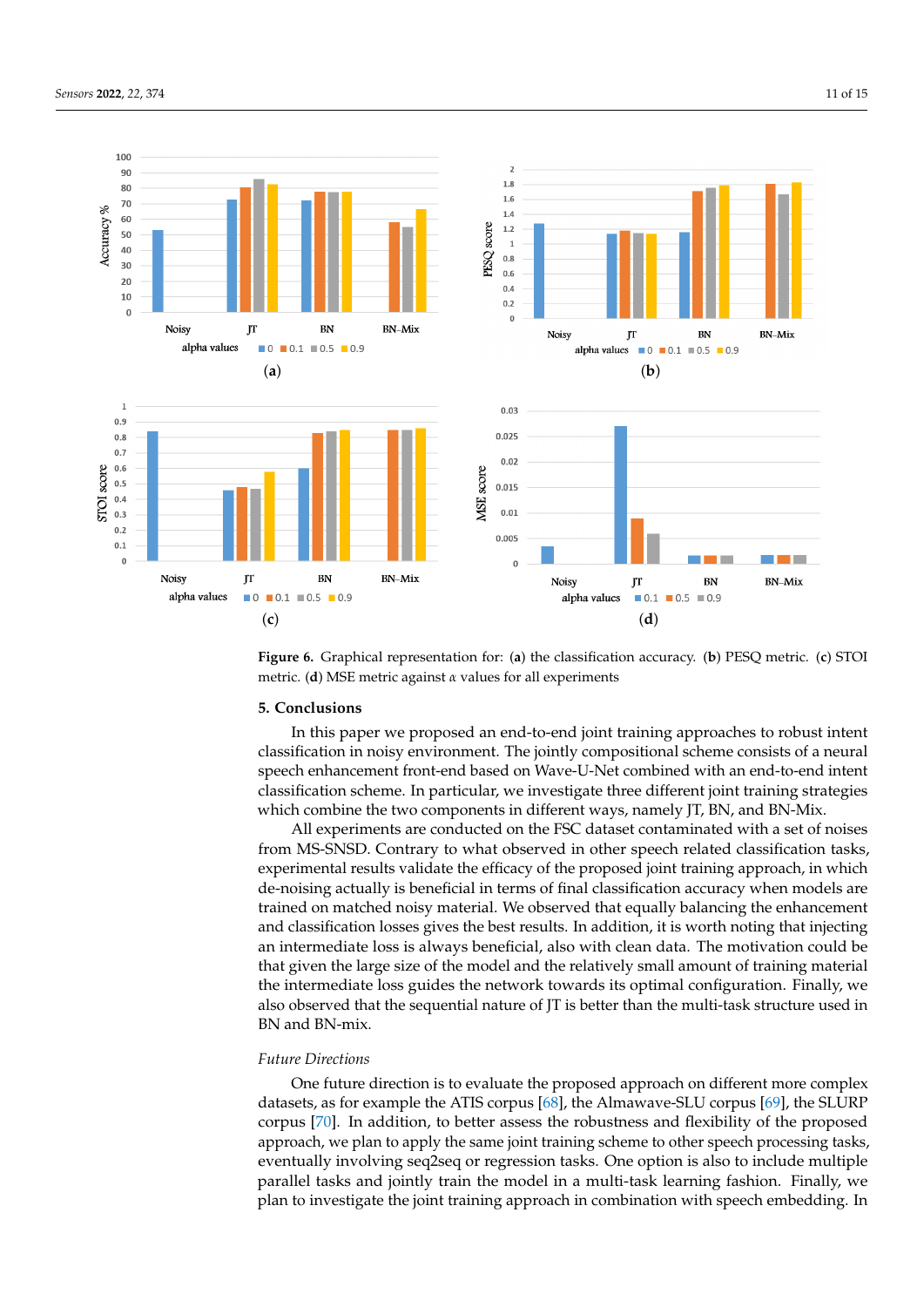<span id="page-10-1"></span>

**Figure 6.** Graphical representation for: (**a**) the classification accuracy. (**b**) PESQ metric. (**c**) STOI metric. (**d**) MSE metric against *α* values for all experiments

#### <span id="page-10-0"></span>**5. Conclusions**

In this paper we proposed an end-to-end joint training approaches to robust intent classification in noisy environment. The jointly compositional scheme consists of a neural speech enhancement front-end based on Wave-U-Net combined with an end-to-end intent classification scheme. In particular, we investigate three different joint training strategies which combine the two components in different ways, namely JT, BN, and BN-Mix.

All experiments are conducted on the FSC dataset contaminated with a set of noises from MS-SNSD. Contrary to what observed in other speech related classification tasks, experimental results validate the efficacy of the proposed joint training approach, in which de-noising actually is beneficial in terms of final classification accuracy when models are trained on matched noisy material. We observed that equally balancing the enhancement and classification losses gives the best results. In addition, it is worth noting that injecting an intermediate loss is always beneficial, also with clean data. The motivation could be that given the large size of the model and the relatively small amount of training material the intermediate loss guides the network towards its optimal configuration. Finally, we also observed that the sequential nature of JT is better than the multi-task structure used in BN and BN-mix.

# *Future Directions*

One future direction is to evaluate the proposed approach on different more complex datasets, as for example the ATIS corpus [\[68\]](#page-14-11), the Almawave-SLU corpus [\[69\]](#page-14-12), the SLURP corpus [\[70\]](#page-14-13). In addition, to better assess the robustness and flexibility of the proposed approach, we plan to apply the same joint training scheme to other speech processing tasks, eventually involving seq2seq or regression tasks. One option is also to include multiple parallel tasks and jointly train the model in a multi-task learning fashion. Finally, we plan to investigate the joint training approach in combination with speech embedding. In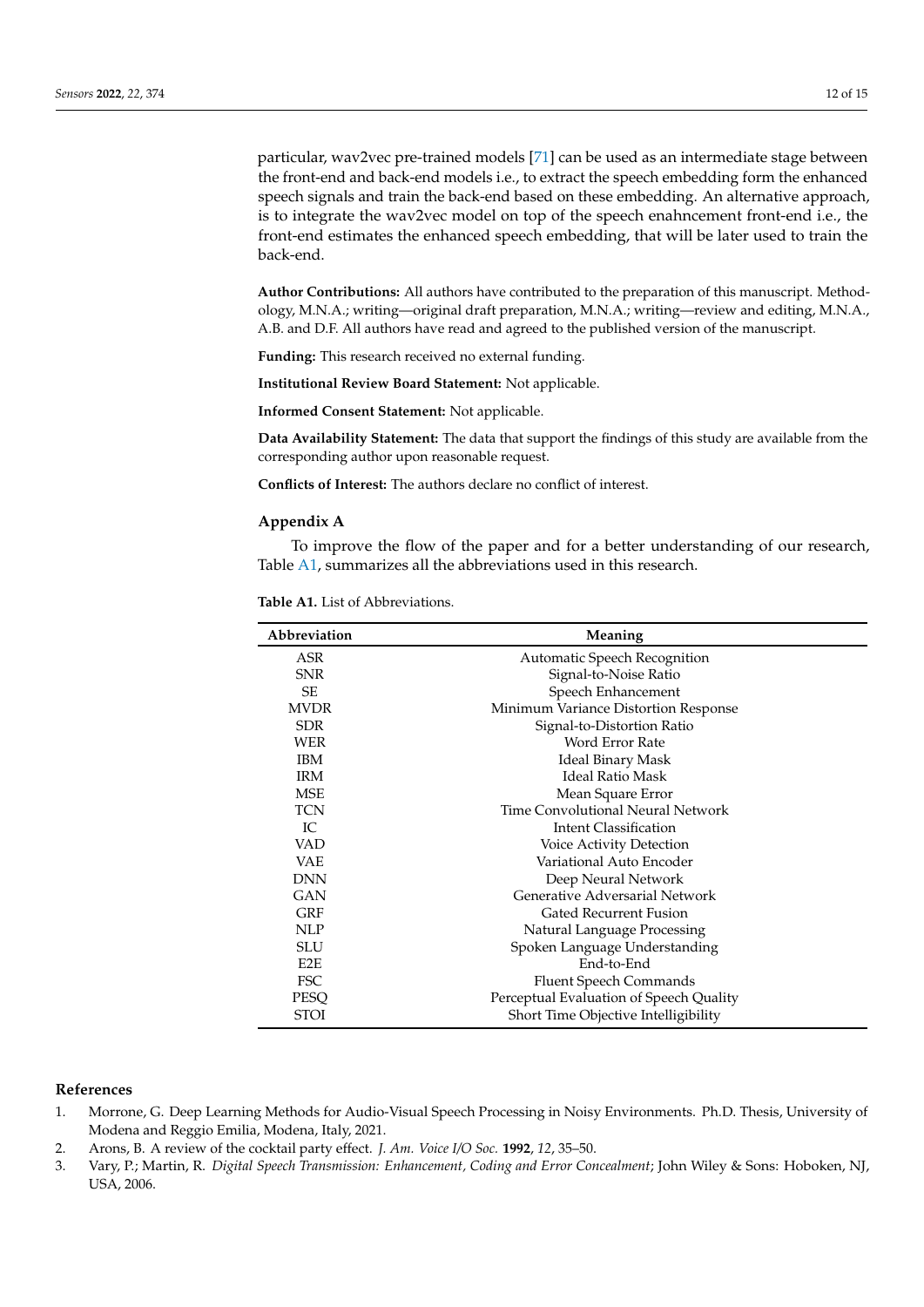particular, wav2vec pre-trained models [\[71\]](#page-14-14) can be used as an intermediate stage between the front-end and back-end models i.e., to extract the speech embedding form the enhanced speech signals and train the back-end based on these embedding. An alternative approach, is to integrate the wav2vec model on top of the speech enahncement front-end i.e., the front-end estimates the enhanced speech embedding, that will be later used to train the back-end.

**Author Contributions:** All authors have contributed to the preparation of this manuscript. Methodology, M.N.A.; writing—original draft preparation, M.N.A.; writing—review and editing, M.N.A., A.B. and D.F. All authors have read and agreed to the published version of the manuscript.

**Funding:** This research received no external funding.

**Institutional Review Board Statement:** Not applicable.

**Informed Consent Statement:** Not applicable.

**Data Availability Statement:** The data that support the findings of this study are available from the corresponding author upon reasonable request.

**Conflicts of Interest:** The authors declare no conflict of interest.

#### <span id="page-11-4"></span>**Appendix A**

To improve the flow of the paper and for a better understanding of our research, Table [A1,](#page-11-3) summarizes all the abbreviations used in this research.

<span id="page-11-3"></span>

| Abbreviation     | Meaning                                 |  |
|------------------|-----------------------------------------|--|
| ASR              | Automatic Speech Recognition            |  |
| <b>SNR</b>       | Signal-to-Noise Ratio                   |  |
| <b>SE</b>        | Speech Enhancement                      |  |
| <b>MVDR</b>      | Minimum Variance Distortion Response    |  |
| <b>SDR</b>       | Signal-to-Distortion Ratio              |  |
| WER              | Word Error Rate                         |  |
| <b>IBM</b>       | <b>Ideal Binary Mask</b>                |  |
| <b>IRM</b>       | <b>Ideal Ratio Mask</b>                 |  |
| <b>MSE</b>       | Mean Square Error                       |  |
| <b>TCN</b>       | Time Convolutional Neural Network       |  |
| IC               | <b>Intent Classification</b>            |  |
| VAD              | Voice Activity Detection                |  |
| <b>VAE</b>       | Variational Auto Encoder                |  |
| <b>DNN</b>       | Deep Neural Network                     |  |
| GAN              | Generative Adversarial Network          |  |
| <b>GRF</b>       | <b>Gated Recurrent Fusion</b>           |  |
| <b>NLP</b>       | Natural Language Processing             |  |
| <b>SLU</b>       | Spoken Language Understanding           |  |
| E <sub>2</sub> E | End-to-End                              |  |
| <b>FSC</b>       | <b>Fluent Speech Commands</b>           |  |
| PESO             | Perceptual Evaluation of Speech Quality |  |
| <b>STOI</b>      | Short Time Objective Intelligibility    |  |

#### **References**

- <span id="page-11-0"></span>1. Morrone, G. Deep Learning Methods for Audio-Visual Speech Processing in Noisy Environments. Ph.D. Thesis, University of Modena and Reggio Emilia, Modena, Italy, 2021.
- <span id="page-11-1"></span>2. Arons, B. A review of the cocktail party effect. *J. Am. Voice I/O Soc.* **1992**, *12*, 35–50.
- <span id="page-11-2"></span>3. Vary, P.; Martin, R. *Digital Speech Transmission: Enhancement, Coding and Error Concealment*; John Wiley & Sons: Hoboken, NJ, USA, 2006.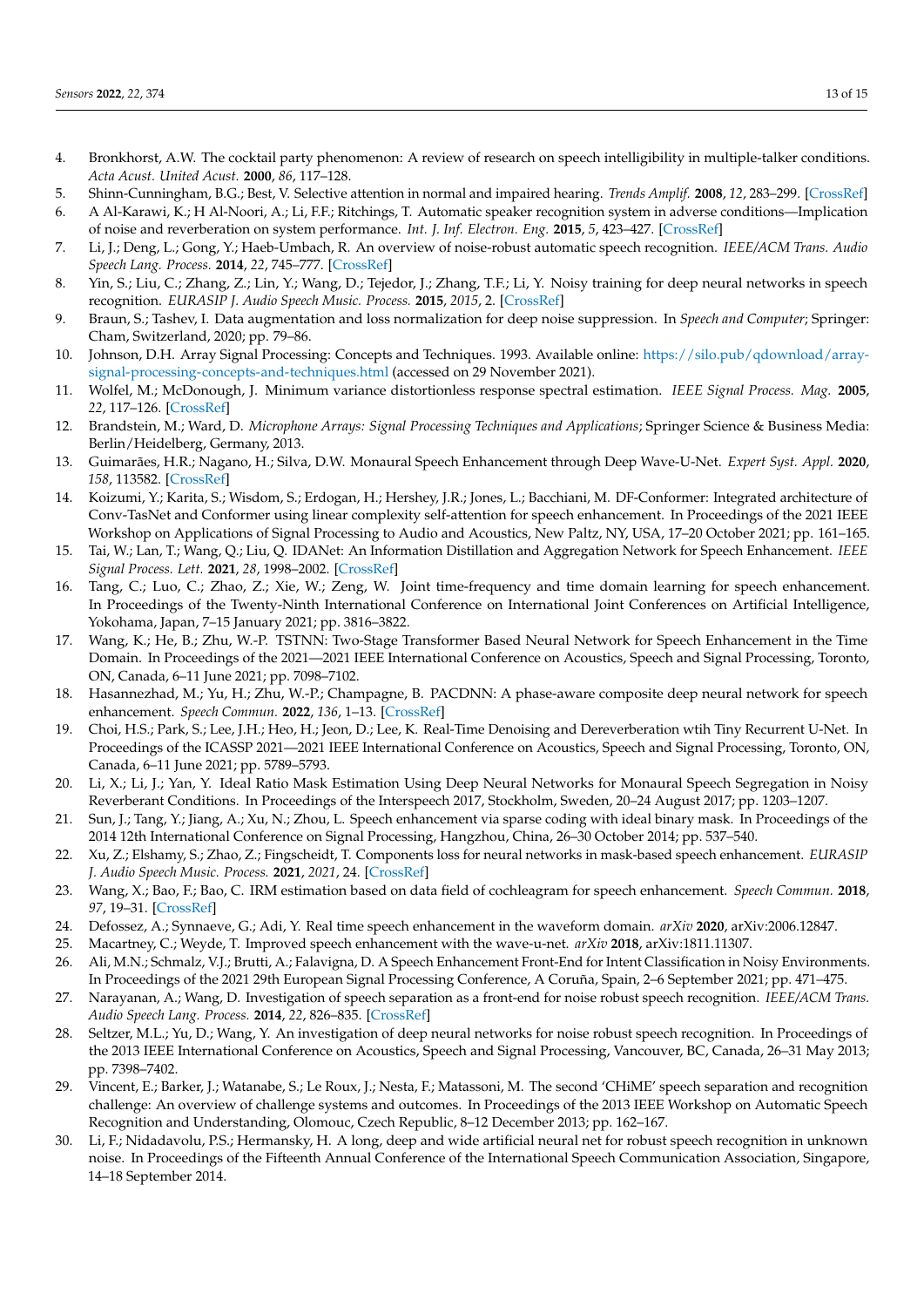- <span id="page-12-0"></span>4. Bronkhorst, A.W. The cocktail party phenomenon: A review of research on speech intelligibility in multiple-talker conditions. *Acta Acust. United Acust.* **2000**, *86*, 117–128.
- <span id="page-12-1"></span>5. Shinn-Cunningham, B.G.; Best, V. Selective attention in normal and impaired hearing. *Trends Amplif.* **2008**, *12*, 283–299. [\[CrossRef\]](http://doi.org/10.1177/1084713808325306)
- <span id="page-12-2"></span>6. A Al-Karawi, K.; H Al-Noori, A.; Li, F.F.; Ritchings, T. Automatic speaker recognition system in adverse conditions—Implication of noise and reverberation on system performance. *Int. J. Inf. Electron. Eng.* **2015**, *5*, 423–427. [\[CrossRef\]](http://dx.doi.org/10.7763/IJIEE.2015.V5.571)
- <span id="page-12-3"></span>7. Li, J.; Deng, L.; Gong, Y.; Haeb-Umbach, R. An overview of noise-robust automatic speech recognition. *IEEE/ACM Trans. Audio Speech Lang. Process.* **2014**, *22*, 745–777. [\[CrossRef\]](http://dx.doi.org/10.1109/TASLP.2014.2304637)
- <span id="page-12-4"></span>8. Yin, S.; Liu, C.; Zhang, Z.; Lin, Y.; Wang, D.; Tejedor, J.; Zhang, T.F.; Li, Y. Noisy training for deep neural networks in speech recognition. *EURASIP J. Audio Speech Music. Process.* **2015**, *2015*, 2. [\[CrossRef\]](http://dx.doi.org/10.1186/s13636-014-0047-0)
- <span id="page-12-5"></span>9. Braun, S.; Tashev, I. Data augmentation and loss normalization for deep noise suppression. In *Speech and Computer*; Springer: Cham, Switzerland, 2020; pp. 79–86.
- <span id="page-12-6"></span>10. Johnson, D.H. Array Signal Processing: Concepts and Techniques. 1993. Available online: [https://silo.pub/qdownload/array](https://silo.pub/qdownload/array-signal-processing-concepts-and-techniques.html)[signal-processing-concepts-and-techniques.html](https://silo.pub/qdownload/array-signal-processing-concepts-and-techniques.html) (accessed on 29 November 2021).
- <span id="page-12-7"></span>11. Wolfel, M.; McDonough, J. Minimum variance distortionless response spectral estimation. *IEEE Signal Process. Mag.* **2005**, *22*, 117–126. [\[CrossRef\]](http://dx.doi.org/10.1109/MSP.2005.1511829)
- <span id="page-12-8"></span>12. Brandstein, M.; Ward, D. *Microphone Arrays: Signal Processing Techniques and Applications*; Springer Science & Business Media: Berlin/Heidelberg, Germany, 2013.
- <span id="page-12-9"></span>13. Guimarães, H.R.; Nagano, H.; Silva, D.W. Monaural Speech Enhancement through Deep Wave-U-Net. *Expert Syst. Appl.* **2020**, *158*, 113582. [\[CrossRef\]](http://dx.doi.org/10.1016/j.eswa.2020.113582)
- <span id="page-12-10"></span>14. Koizumi, Y.; Karita, S.; Wisdom, S.; Erdogan, H.; Hershey, J.R.; Jones, L.; Bacchiani, M. DF-Conformer: Integrated architecture of Conv-TasNet and Conformer using linear complexity self-attention for speech enhancement. In Proceedings of the 2021 IEEE Workshop on Applications of Signal Processing to Audio and Acoustics, New Paltz, NY, USA, 17–20 October 2021; pp. 161–165.
- 15. Tai, W.; Lan, T.; Wang, Q.; Liu, Q. IDANet: An Information Distillation and Aggregation Network for Speech Enhancement. *IEEE Signal Process. Lett.* **2021**, *28*, 1998–2002. [\[CrossRef\]](http://dx.doi.org/10.1109/LSP.2021.3114122)
- 16. Tang, C.; Luo, C.; Zhao, Z.; Xie, W.; Zeng, W. Joint time-frequency and time domain learning for speech enhancement. In Proceedings of the Twenty-Ninth International Conference on International Joint Conferences on Artificial Intelligence, Yokohama, Japan, 7–15 January 2021; pp. 3816–3822.
- 17. Wang, K.; He, B.; Zhu, W.-P. TSTNN: Two-Stage Transformer Based Neural Network for Speech Enhancement in the Time Domain. In Proceedings of the 2021—2021 IEEE International Conference on Acoustics, Speech and Signal Processing, Toronto, ON, Canada, 6–11 June 2021; pp. 7098–7102.
- 18. Hasannezhad, M.; Yu, H.; Zhu, W.-P.; Champagne, B. PACDNN: A phase-aware composite deep neural network for speech enhancement. *Speech Commun.* **2022**, *136*, 1–13. [\[CrossRef\]](http://dx.doi.org/10.1016/j.specom.2021.10.002)
- <span id="page-12-11"></span>19. Choi, H.S.; Park, S.; Lee, J.H.; Heo, H.; Jeon, D.; Lee, K. Real-Time Denoising and Dereverberation wtih Tiny Recurrent U-Net. In Proceedings of the ICASSP 2021—2021 IEEE International Conference on Acoustics, Speech and Signal Processing, Toronto, ON, Canada, 6–11 June 2021; pp. 5789–5793.
- <span id="page-12-12"></span>20. Li, X.; Li, J.; Yan, Y. Ideal Ratio Mask Estimation Using Deep Neural Networks for Monaural Speech Segregation in Noisy Reverberant Conditions. In Proceedings of the Interspeech 2017, Stockholm, Sweden, 20–24 August 2017; pp. 1203–1207.
- <span id="page-12-13"></span>21. Sun, J.; Tang, Y.; Jiang, A.; Xu, N.; Zhou, L. Speech enhancement via sparse coding with ideal binary mask. In Proceedings of the 2014 12th International Conference on Signal Processing, Hangzhou, China, 26–30 October 2014; pp. 537–540.
- <span id="page-12-14"></span>22. Xu, Z.; Elshamy, S.; Zhao, Z.; Fingscheidt, T. Components loss for neural networks in mask-based speech enhancement. *EURASIP J. Audio Speech Music. Process.* **2021**, *2021*, 24. [\[CrossRef\]](http://dx.doi.org/10.1186/s13636-021-00207-6)
- <span id="page-12-15"></span>23. Wang, X.; Bao, F.; Bao, C. IRM estimation based on data field of cochleagram for speech enhancement. *Speech Commun.* **2018**, *97*, 19–31. [\[CrossRef\]](http://dx.doi.org/10.1016/j.specom.2017.12.014)
- <span id="page-12-16"></span>24. Defossez, A.; Synnaeve, G.; Adi, Y. Real time speech enhancement in the waveform domain. *arXiv* **2020**, arXiv:2006.12847.
- <span id="page-12-17"></span>25. Macartney, C.; Weyde, T. Improved speech enhancement with the wave-u-net. *arXiv* **2018**, arXiv:1811.11307.
- <span id="page-12-18"></span>26. Ali, M.N.; Schmalz, V.J.; Brutti, A.; Falavigna, D. A Speech Enhancement Front-End for Intent Classification in Noisy Environments. In Proceedings of the 2021 29th European Signal Processing Conference, A Coruña, Spain, 2–6 September 2021; pp. 471–475.
- <span id="page-12-19"></span>27. Narayanan, A.; Wang, D. Investigation of speech separation as a front-end for noise robust speech recognition. *IEEE/ACM Trans. Audio Speech Lang. Process.* **2014**, *22*, 826–835. [\[CrossRef\]](http://dx.doi.org/10.1109/TASLP.2014.2305833)
- <span id="page-12-20"></span>28. Seltzer, M.L.; Yu, D.; Wang, Y. An investigation of deep neural networks for noise robust speech recognition. In Proceedings of the 2013 IEEE International Conference on Acoustics, Speech and Signal Processing, Vancouver, BC, Canada, 26–31 May 2013; pp. 7398–7402.
- <span id="page-12-21"></span>29. Vincent, E.; Barker, J.; Watanabe, S.; Le Roux, J.; Nesta, F.; Matassoni, M. The second 'CHiME' speech separation and recognition challenge: An overview of challenge systems and outcomes. In Proceedings of the 2013 IEEE Workshop on Automatic Speech Recognition and Understanding, Olomouc, Czech Republic, 8–12 December 2013; pp. 162–167.
- <span id="page-12-22"></span>30. Li, F.; Nidadavolu, P.S.; Hermansky, H. A long, deep and wide artificial neural net for robust speech recognition in unknown noise. In Proceedings of the Fifteenth Annual Conference of the International Speech Communication Association, Singapore, 14–18 September 2014.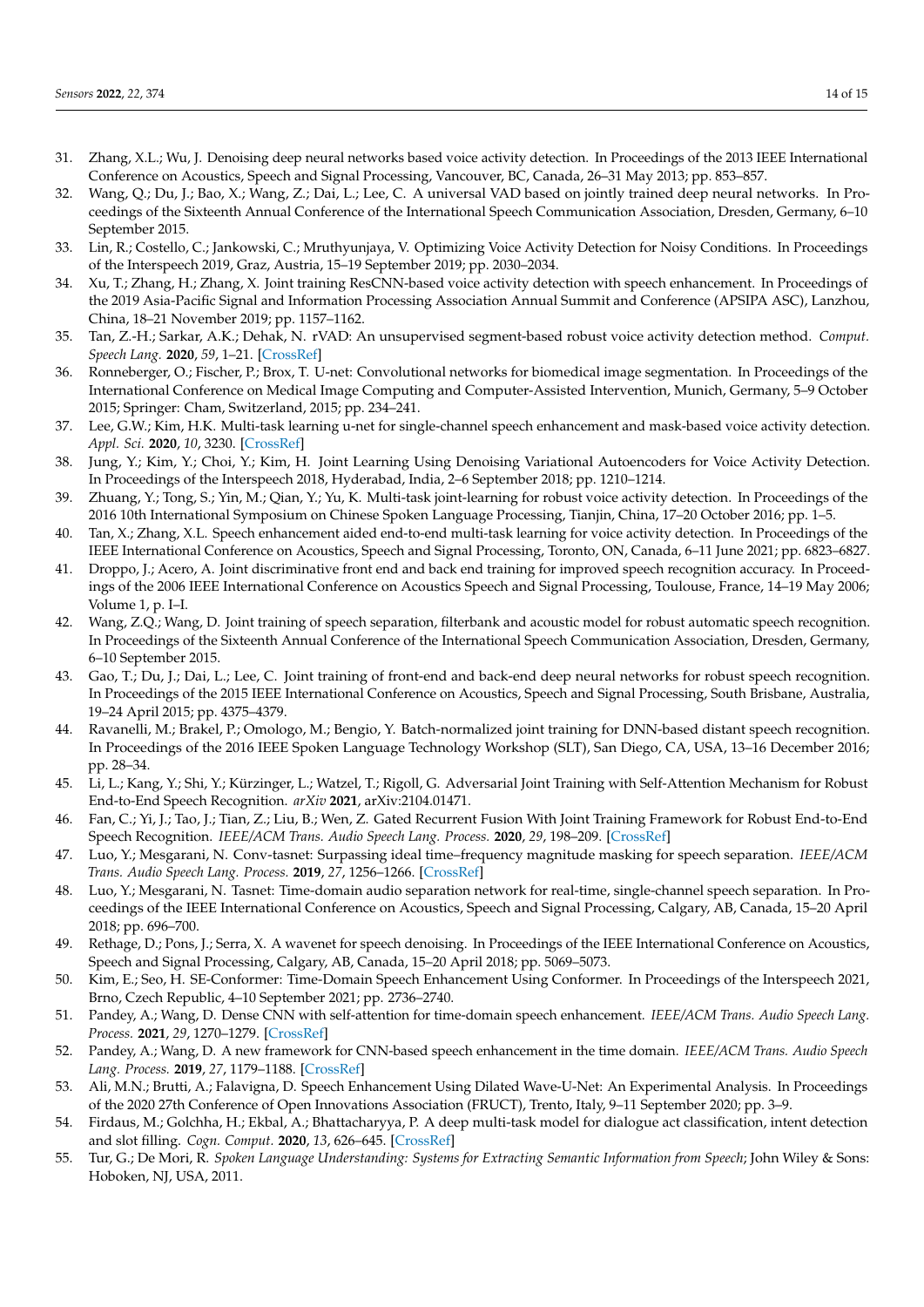- <span id="page-13-0"></span>31. Zhang, X.L.; Wu, J. Denoising deep neural networks based voice activity detection. In Proceedings of the 2013 IEEE International Conference on Acoustics, Speech and Signal Processing, Vancouver, BC, Canada, 26–31 May 2013; pp. 853–857.
- <span id="page-13-1"></span>32. Wang, Q.; Du, J.; Bao, X.; Wang, Z.; Dai, L.; Lee, C. A universal VAD based on jointly trained deep neural networks. In Proceedings of the Sixteenth Annual Conference of the International Speech Communication Association, Dresden, Germany, 6–10 September 2015.
- <span id="page-13-2"></span>33. Lin, R.; Costello, C.; Jankowski, C.; Mruthyunjaya, V. Optimizing Voice Activity Detection for Noisy Conditions. In Proceedings of the Interspeech 2019, Graz, Austria, 15–19 September 2019; pp. 2030–2034.
- <span id="page-13-3"></span>34. Xu, T.; Zhang, H.; Zhang, X. Joint training ResCNN-based voice activity detection with speech enhancement. In Proceedings of the 2019 Asia-Pacific Signal and Information Processing Association Annual Summit and Conference (APSIPA ASC), Lanzhou, China, 18–21 November 2019; pp. 1157–1162.
- <span id="page-13-4"></span>35. Tan, Z.-H.; Sarkar, A.K.; Dehak, N. rVAD: An unsupervised segment-based robust voice activity detection method. *Comput. Speech Lang.* **2020**, *59*, 1–21. [\[CrossRef\]](http://dx.doi.org/10.1016/j.csl.2019.06.005)
- <span id="page-13-5"></span>36. Ronneberger, O.; Fischer, P.; Brox, T. U-net: Convolutional networks for biomedical image segmentation. In Proceedings of the International Conference on Medical Image Computing and Computer-Assisted Intervention, Munich, Germany, 5–9 October 2015; Springer: Cham, Switzerland, 2015; pp. 234–241.
- <span id="page-13-6"></span>37. Lee, G.W.; Kim, H.K. Multi-task learning u-net for single-channel speech enhancement and mask-based voice activity detection. *Appl. Sci.* **2020**, *10*, 3230. [\[CrossRef\]](http://dx.doi.org/10.3390/app10093230)
- <span id="page-13-7"></span>38. Jung, Y.; Kim, Y.; Choi, Y.; Kim, H. Joint Learning Using Denoising Variational Autoencoders for Voice Activity Detection. In Proceedings of the Interspeech 2018, Hyderabad, India, 2–6 September 2018; pp. 1210–1214.
- <span id="page-13-8"></span>39. Zhuang, Y.; Tong, S.; Yin, M.; Qian, Y.; Yu, K. Multi-task joint-learning for robust voice activity detection. In Proceedings of the 2016 10th International Symposium on Chinese Spoken Language Processing, Tianjin, China, 17–20 October 2016; pp. 1–5.
- <span id="page-13-9"></span>40. Tan, X.; Zhang, X.L. Speech enhancement aided end-to-end multi-task learning for voice activity detection. In Proceedings of the IEEE International Conference on Acoustics, Speech and Signal Processing, Toronto, ON, Canada, 6–11 June 2021; pp. 6823–6827.
- <span id="page-13-10"></span>41. Droppo, J.; Acero, A. Joint discriminative front end and back end training for improved speech recognition accuracy. In Proceedings of the 2006 IEEE International Conference on Acoustics Speech and Signal Processing, Toulouse, France, 14–19 May 2006; Volume 1, p. I–I.
- <span id="page-13-11"></span>42. Wang, Z.Q.; Wang, D. Joint training of speech separation, filterbank and acoustic model for robust automatic speech recognition. In Proceedings of the Sixteenth Annual Conference of the International Speech Communication Association, Dresden, Germany, 6–10 September 2015.
- <span id="page-13-12"></span>43. Gao, T.; Du, J.; Dai, L.; Lee, C. Joint training of front-end and back-end deep neural networks for robust speech recognition. In Proceedings of the 2015 IEEE International Conference on Acoustics, Speech and Signal Processing, South Brisbane, Australia, 19–24 April 2015; pp. 4375–4379.
- <span id="page-13-13"></span>44. Ravanelli, M.; Brakel, P.; Omologo, M.; Bengio, Y. Batch-normalized joint training for DNN-based distant speech recognition. In Proceedings of the 2016 IEEE Spoken Language Technology Workshop (SLT), San Diego, CA, USA, 13–16 December 2016; pp. 28–34.
- <span id="page-13-14"></span>45. Li, L.; Kang, Y.; Shi, Y.; Kürzinger, L.; Watzel, T.; Rigoll, G. Adversarial Joint Training with Self-Attention Mechanism for Robust End-to-End Speech Recognition. *arXiv* **2021**, arXiv:2104.01471.
- <span id="page-13-15"></span>46. Fan, C.; Yi, J.; Tao, J.; Tian, Z.; Liu, B.; Wen, Z. Gated Recurrent Fusion With Joint Training Framework for Robust End-to-End Speech Recognition. *IEEE/ACM Trans. Audio Speech Lang. Process.* **2020**, *29*, 198–209. [\[CrossRef\]](http://dx.doi.org/10.1109/TASLP.2020.3039600)
- <span id="page-13-16"></span>47. Luo, Y.; Mesgarani, N. Conv-tasnet: Surpassing ideal time–frequency magnitude masking for speech separation. *IEEE/ACM Trans. Audio Speech Lang. Process.* **2019**, *27*, 1256–1266. [\[CrossRef\]](http://dx.doi.org/10.1109/TASLP.2019.2915167)
- <span id="page-13-17"></span>48. Luo, Y.; Mesgarani, N. Tasnet: Time-domain audio separation network for real-time, single-channel speech separation. In Proceedings of the IEEE International Conference on Acoustics, Speech and Signal Processing, Calgary, AB, Canada, 15–20 April 2018; pp. 696–700.
- 49. Rethage, D.; Pons, J.; Serra, X. A wavenet for speech denoising. In Proceedings of the IEEE International Conference on Acoustics, Speech and Signal Processing, Calgary, AB, Canada, 15–20 April 2018; pp. 5069–5073.
- 50. Kim, E.; Seo, H. SE-Conformer: Time-Domain Speech Enhancement Using Conformer. In Proceedings of the Interspeech 2021, Brno, Czech Republic, 4–10 September 2021; pp. 2736–2740.
- <span id="page-13-18"></span>51. Pandey, A.; Wang, D. Dense CNN with self-attention for time-domain speech enhancement. *IEEE/ACM Trans. Audio Speech Lang. Process.* **2021**, *29*, 1270–1279. [\[CrossRef\]](http://dx.doi.org/10.1109/TASLP.2021.3064421)
- <span id="page-13-19"></span>52. Pandey, A.; Wang, D. A new framework for CNN-based speech enhancement in the time domain. *IEEE/ACM Trans. Audio Speech Lang. Process.* **2019**, *27*, 1179–1188. [\[CrossRef\]](http://dx.doi.org/10.1109/TASLP.2019.2913512)
- <span id="page-13-20"></span>53. Ali, M.N.; Brutti, A.; Falavigna, D. Speech Enhancement Using Dilated Wave-U-Net: An Experimental Analysis. In Proceedings of the 2020 27th Conference of Open Innovations Association (FRUCT), Trento, Italy, 9–11 September 2020; pp. 3–9.
- <span id="page-13-21"></span>54. Firdaus, M.; Golchha, H.; Ekbal, A.; Bhattacharyya, P. A deep multi-task model for dialogue act classification, intent detection and slot filling. *Cogn. Comput.* **2020**, *13*, 626–645. [\[CrossRef\]](http://dx.doi.org/10.1007/s12559-020-09718-4)
- <span id="page-13-22"></span>55. Tur, G.; De Mori, R. *Spoken Language Understanding: Systems for Extracting Semantic Information from Speech*; John Wiley & Sons: Hoboken, NJ, USA, 2011.